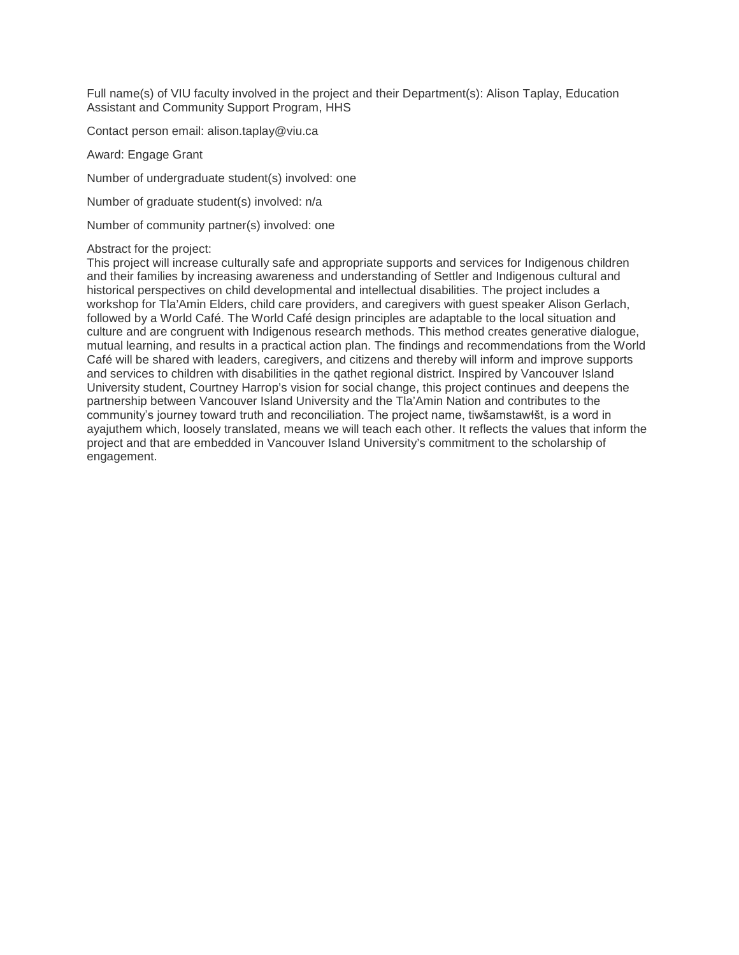Full name(s) of VIU faculty involved in the project and their Department(s): Alison Taplay, Education Assistant and Community Support Program, HHS

Contact person email: alison.taplay@viu.ca

Award: Engage Grant

Number of undergraduate student(s) involved: one

Number of graduate student(s) involved: n/a

Number of community partner(s) involved: one

#### Abstract for the project:

This project will increase culturally safe and appropriate supports and services for Indigenous children and their families by increasing awareness and understanding of Settler and Indigenous cultural and historical perspectives on child developmental and intellectual disabilities. The project includes a workshop for Tla'Amin Elders, child care providers, and caregivers with guest speaker Alison Gerlach, followed by a World Café. The World Café design principles are adaptable to the local situation and culture and are congruent with Indigenous research methods. This method creates generative dialogue, mutual learning, and results in a practical action plan. The findings and recommendations from the World Café will be shared with leaders, caregivers, and citizens and thereby will inform and improve supports and services to children with disabilities in the qathet regional district. Inspired by Vancouver Island University student, Courtney Harrop's vision for social change, this project continues and deepens the partnership between Vancouver Island University and the Tla'Amin Nation and contributes to the community's journey toward truth and reconciliation. The project name, tiwšamstawłšt, is a word in ayajuthem which, loosely translated, means we will teach each other. It reflects the values that inform the project and that are embedded in Vancouver Island University's commitment to the scholarship of engagement.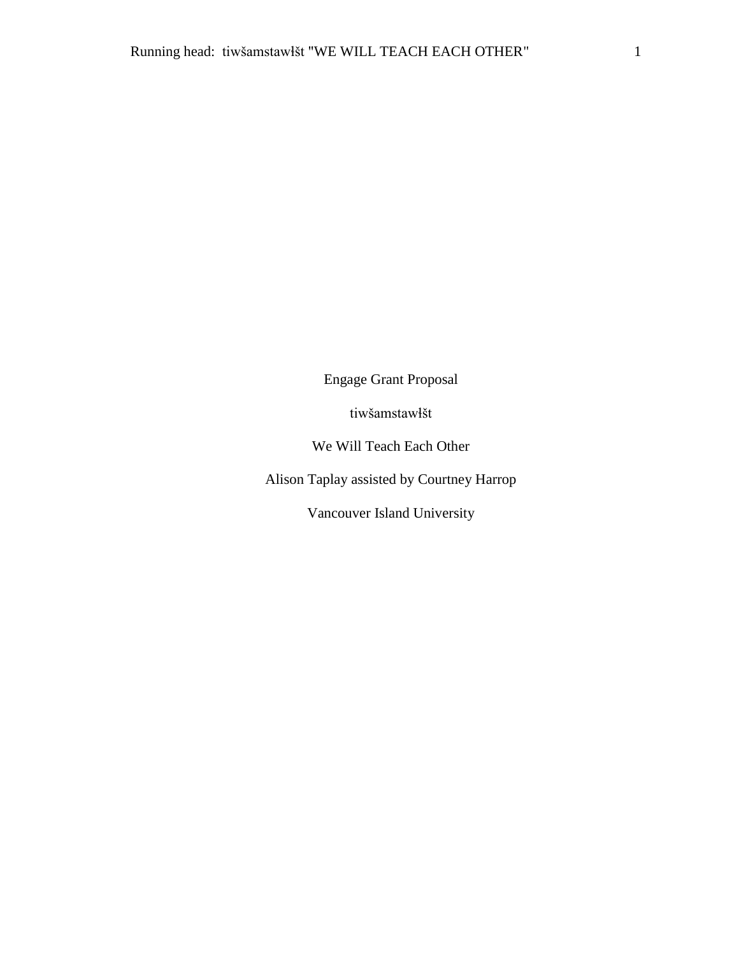Engage Grant Proposal

tiwšamstawɬšt

We Will Teach Each Other

Alison Taplay assisted by Courtney Harrop

Vancouver Island University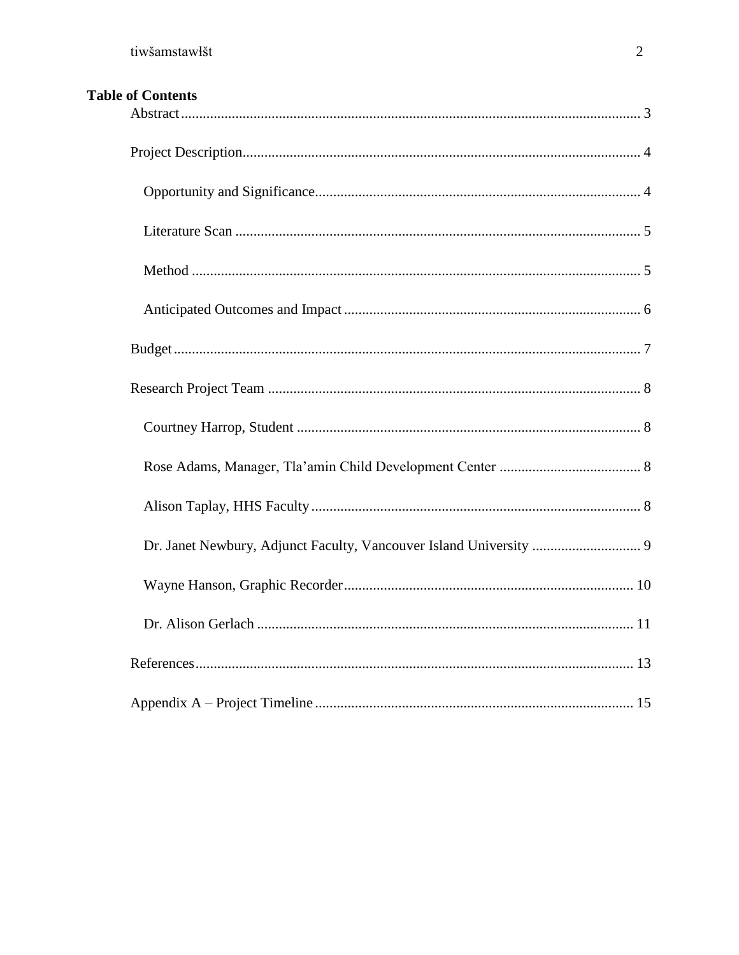| <b>Table of Contents</b> |
|--------------------------|
|--------------------------|

| Dr. Janet Newbury, Adjunct Faculty, Vancouver Island University  9 |  |
|--------------------------------------------------------------------|--|
|                                                                    |  |
|                                                                    |  |
|                                                                    |  |
|                                                                    |  |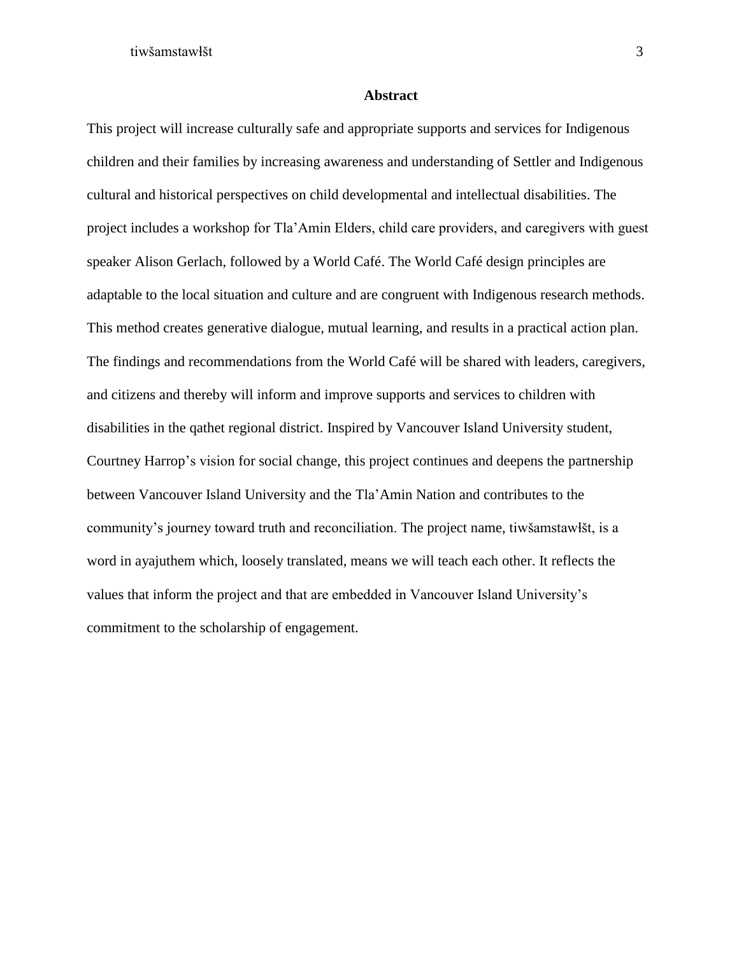#### **Abstract**

<span id="page-3-0"></span>This project will increase culturally safe and appropriate supports and services for Indigenous children and their families by increasing awareness and understanding of Settler and Indigenous cultural and historical perspectives on child developmental and intellectual disabilities. The project includes a workshop for Tla'Amin Elders, child care providers, and caregivers with guest speaker Alison Gerlach, followed by a World Café. The World Café design principles are adaptable to the local situation and culture and are congruent with Indigenous research methods. This method creates generative dialogue, mutual learning, and results in a practical action plan. The findings and recommendations from the World Café will be shared with leaders, caregivers, and citizens and thereby will inform and improve supports and services to children with disabilities in the qathet regional district. Inspired by Vancouver Island University student, Courtney Harrop's vision for social change, this project continues and deepens the partnership between Vancouver Island University and the Tla'Amin Nation and contributes to the community's journey toward truth and reconciliation. The project name, tiwšamstawɬšt, is a word in ayajuthem which, loosely translated, means we will teach each other. It reflects the values that inform the project and that are embedded in Vancouver Island University's commitment to the scholarship of engagement.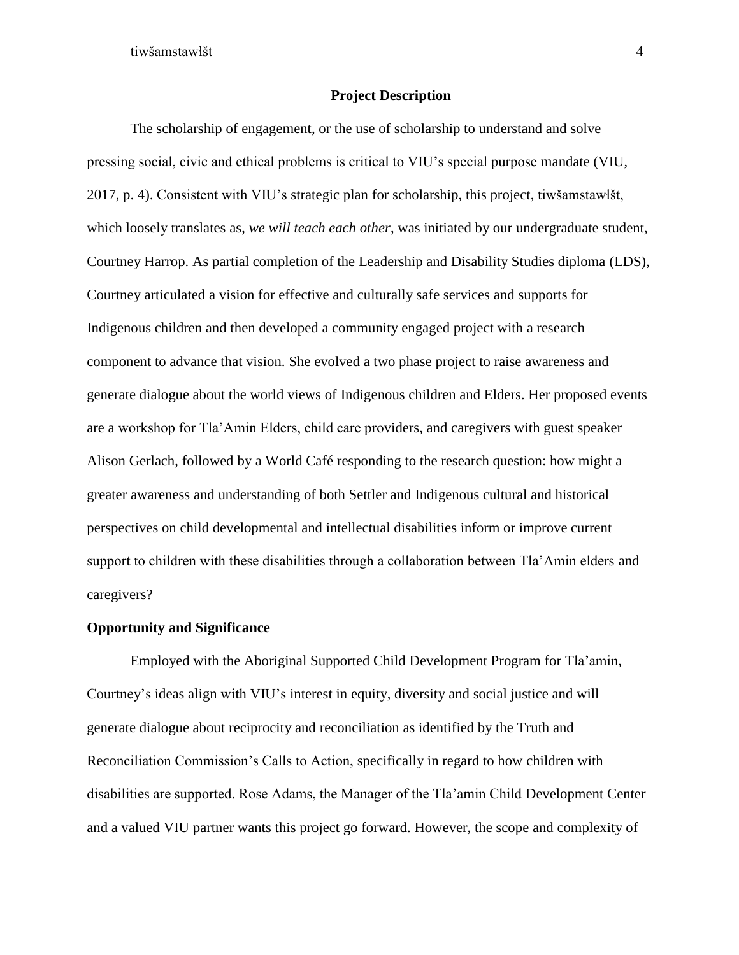## **Project Description**

<span id="page-4-0"></span>The scholarship of engagement, or the use of scholarship to understand and solve pressing social, civic and ethical problems is critical to VIU's special purpose mandate (VIU, 2017, p. 4). Consistent with VIU's strategic plan for scholarship, this project, tiwšamstawɬšt, which loosely translates as, *we will teach each other*, was initiated by our undergraduate student, Courtney Harrop. As partial completion of the Leadership and Disability Studies diploma (LDS), Courtney articulated a vision for effective and culturally safe services and supports for Indigenous children and then developed a community engaged project with a research component to advance that vision. She evolved a two phase project to raise awareness and generate dialogue about the world views of Indigenous children and Elders. Her proposed events are a workshop for Tla'Amin Elders, child care providers, and caregivers with guest speaker Alison Gerlach, followed by a World Café responding to the research question: how might a greater awareness and understanding of both Settler and Indigenous cultural and historical perspectives on child developmental and intellectual disabilities inform or improve current support to children with these disabilities through a collaboration between Tla'Amin elders and caregivers?

### <span id="page-4-1"></span>**Opportunity and Significance**

Employed with the Aboriginal Supported Child Development Program for Tla'amin, Courtney's ideas align with VIU's interest in equity, diversity and social justice and will generate dialogue about reciprocity and reconciliation as identified by the Truth and Reconciliation Commission's Calls to Action, specifically in regard to how children with disabilities are supported. Rose Adams, the Manager of the Tla'amin Child Development Center and a valued VIU partner wants this project go forward. However, the scope and complexity of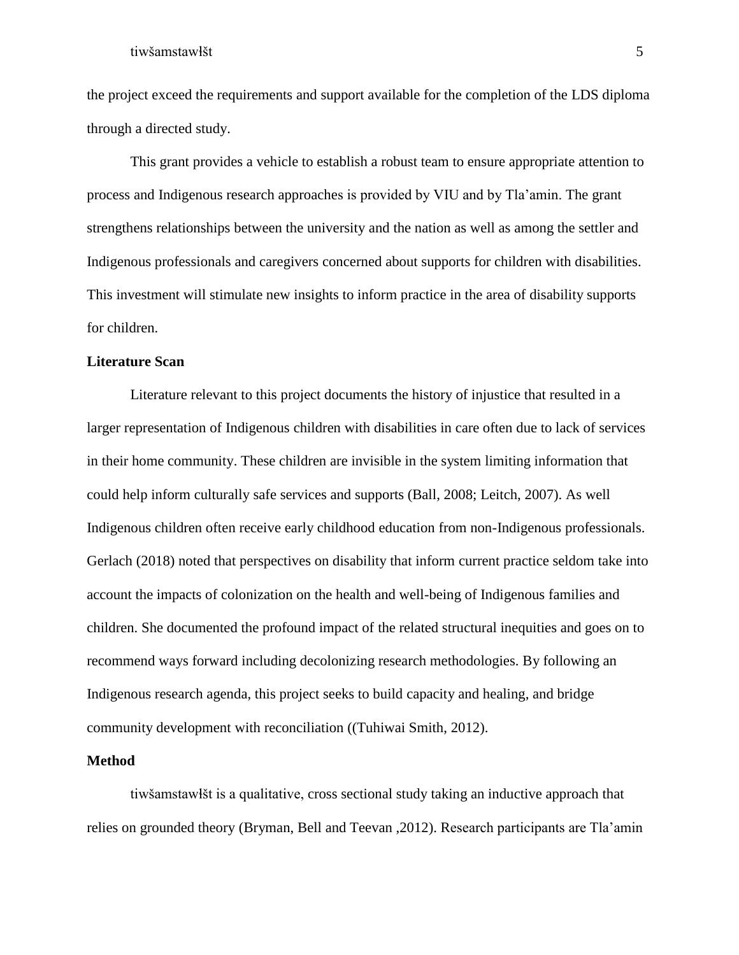the project exceed the requirements and support available for the completion of the LDS diploma through a directed study.

This grant provides a vehicle to establish a robust team to ensure appropriate attention to process and Indigenous research approaches is provided by VIU and by Tla'amin. The grant strengthens relationships between the university and the nation as well as among the settler and Indigenous professionals and caregivers concerned about supports for children with disabilities. This investment will stimulate new insights to inform practice in the area of disability supports for children.

## <span id="page-5-0"></span>**Literature Scan**

Literature relevant to this project documents the history of injustice that resulted in a larger representation of Indigenous children with disabilities in care often due to lack of services in their home community. These children are invisible in the system limiting information that could help inform culturally safe services and supports (Ball, 2008; Leitch, 2007). As well Indigenous children often receive early childhood education from non-Indigenous professionals. Gerlach (2018) noted that perspectives on disability that inform current practice seldom take into account the impacts of colonization on the health and well-being of Indigenous families and children. She documented the profound impact of the related structural inequities and goes on to recommend ways forward including decolonizing research methodologies. By following an Indigenous research agenda, this project seeks to build capacity and healing, and bridge community development with reconciliation ((Tuhiwai Smith, 2012).

## <span id="page-5-1"></span>**Method**

tiwšamstawɬšt is a qualitative, cross sectional study taking an inductive approach that relies on grounded theory (Bryman, Bell and Teevan ,2012). Research participants are Tla'amin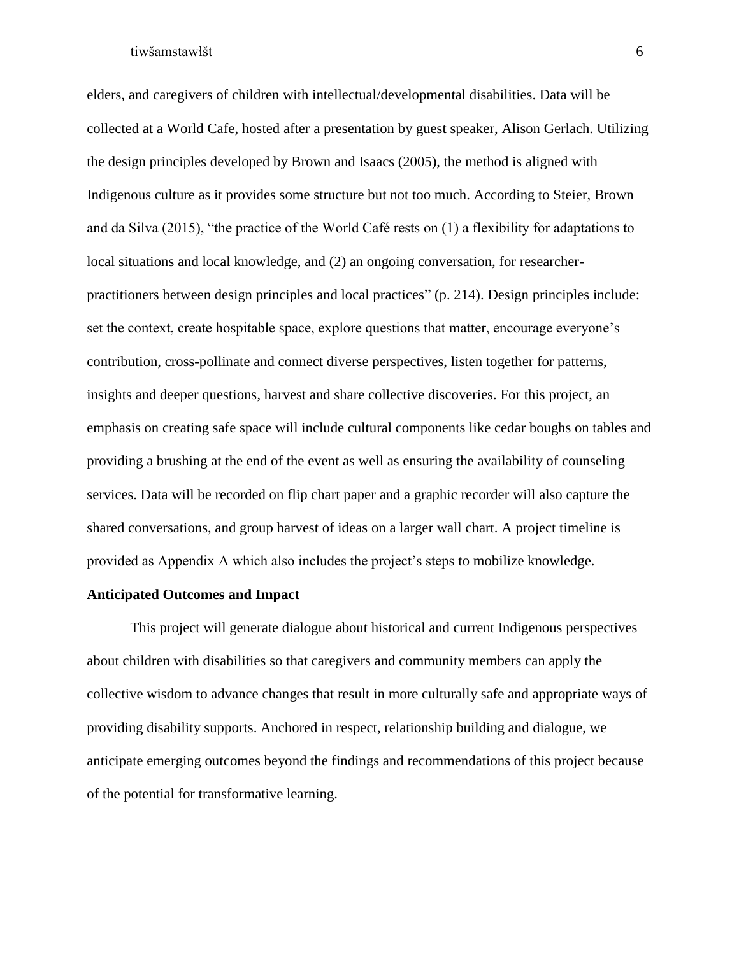elders, and caregivers of children with intellectual/developmental disabilities. Data will be collected at a World Cafe, hosted after a presentation by guest speaker, Alison Gerlach. Utilizing the design principles developed by Brown and Isaacs (2005), the method is aligned with Indigenous culture as it provides some structure but not too much. According to Steier, Brown and da Silva (2015), "the practice of the World Café rests on (1) a flexibility for adaptations to local situations and local knowledge, and (2) an ongoing conversation, for researcherpractitioners between design principles and local practices" (p. 214). Design principles include: set the context, create hospitable space, explore questions that matter, encourage everyone's contribution, cross-pollinate and connect diverse perspectives, listen together for patterns, insights and deeper questions, harvest and share collective discoveries. For this project, an emphasis on creating safe space will include cultural components like cedar boughs on tables and providing a brushing at the end of the event as well as ensuring the availability of counseling services. Data will be recorded on flip chart paper and a graphic recorder will also capture the shared conversations, and group harvest of ideas on a larger wall chart. A project timeline is provided as Appendix A which also includes the project's steps to mobilize knowledge.

## <span id="page-6-0"></span>**Anticipated Outcomes and Impact**

This project will generate dialogue about historical and current Indigenous perspectives about children with disabilities so that caregivers and community members can apply the collective wisdom to advance changes that result in more culturally safe and appropriate ways of providing disability supports. Anchored in respect, relationship building and dialogue, we anticipate emerging outcomes beyond the findings and recommendations of this project because of the potential for transformative learning.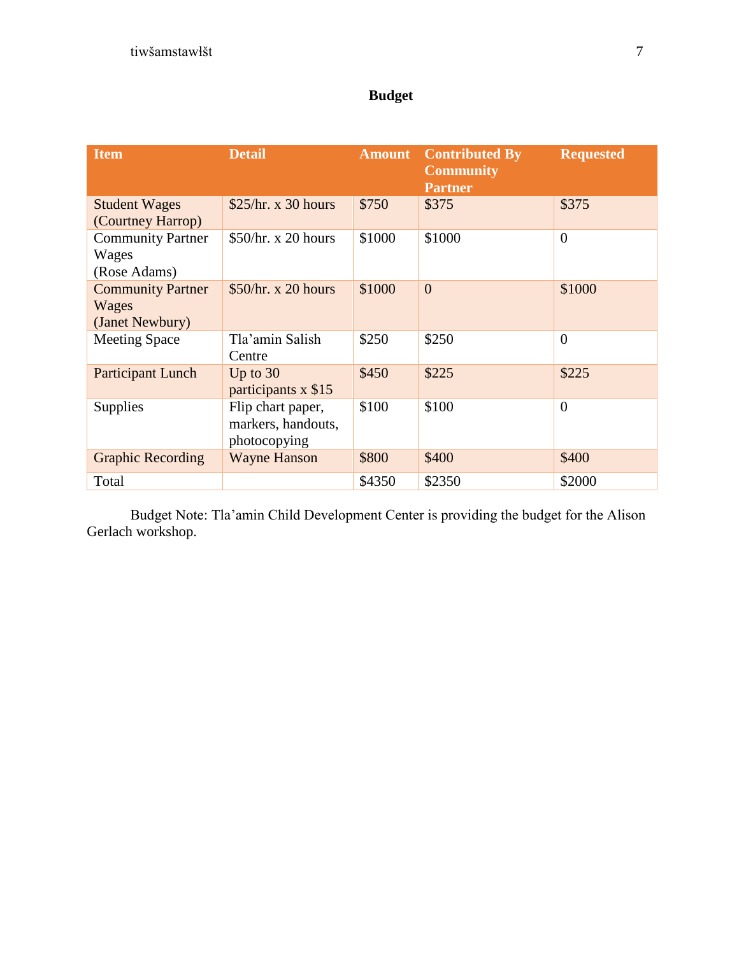# **Budget**

<span id="page-7-0"></span>

| <b>Item</b>                                          | <b>Detail</b>                                           | <b>Amount</b> | <b>Contributed By</b><br><b>Community</b><br><b>Partner</b> | <b>Requested</b> |
|------------------------------------------------------|---------------------------------------------------------|---------------|-------------------------------------------------------------|------------------|
| <b>Student Wages</b><br>(Courtney Harrop)            | \$25/hr. x 30 hours                                     | \$750         | \$375                                                       | \$375            |
| <b>Community Partner</b><br>Wages<br>(Rose Adams)    | \$50/hr. x 20 hours                                     | \$1000        | \$1000                                                      | $\overline{0}$   |
| <b>Community Partner</b><br>Wages<br>(Janet Newbury) | \$50/hr. x 20 hours                                     | \$1000        | $\overline{0}$                                              | \$1000           |
| <b>Meeting Space</b>                                 | Tla'amin Salish<br>Centre                               | \$250         | \$250                                                       | $\overline{0}$   |
| <b>Participant Lunch</b>                             | Up to $30$<br>participants x \$15                       | \$450         | \$225                                                       | \$225            |
| Supplies                                             | Flip chart paper,<br>markers, handouts,<br>photocopying | \$100         | \$100                                                       | $\theta$         |
| <b>Graphic Recording</b>                             | <b>Wayne Hanson</b>                                     | \$800         | \$400                                                       | \$400            |
| Total                                                |                                                         | \$4350        | \$2350                                                      | \$2000           |

Budget Note: Tla'amin Child Development Center is providing the budget for the Alison Gerlach workshop.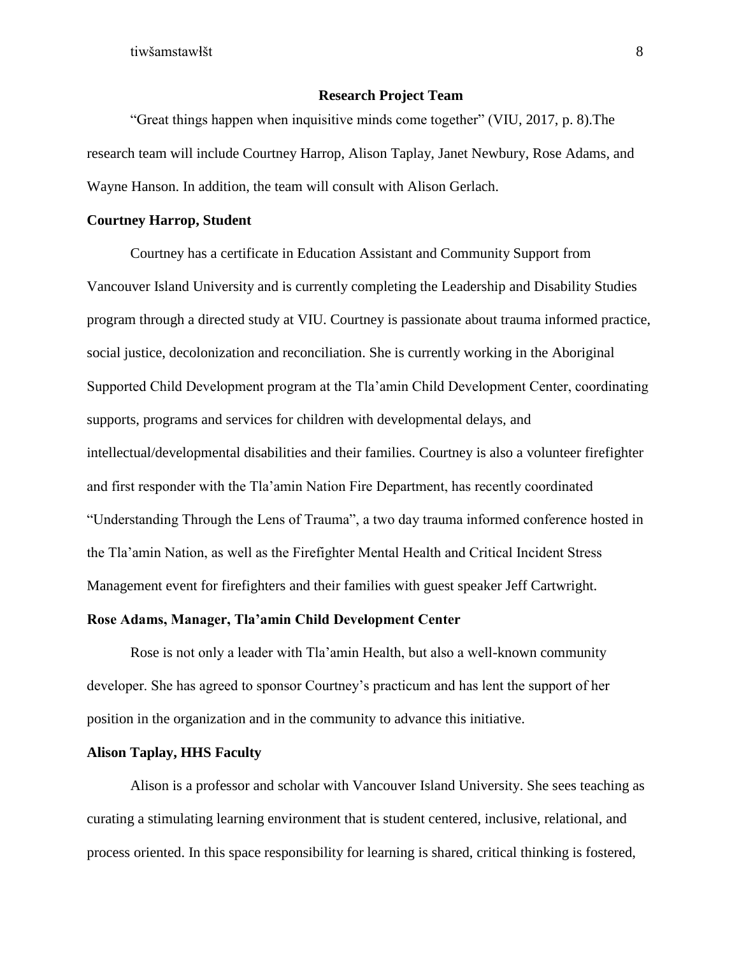## **Research Project Team**

<span id="page-8-0"></span>"Great things happen when inquisitive minds come together" (VIU, 2017, p. 8).The research team will include Courtney Harrop, Alison Taplay, Janet Newbury, Rose Adams, and Wayne Hanson. In addition, the team will consult with Alison Gerlach.

## <span id="page-8-1"></span>**Courtney Harrop, Student**

Courtney has a certificate in Education Assistant and Community Support from Vancouver Island University and is currently completing the Leadership and Disability Studies program through a directed study at VIU. Courtney is passionate about trauma informed practice, social justice, decolonization and reconciliation. She is currently working in the Aboriginal Supported Child Development program at the Tla'amin Child Development Center, coordinating supports, programs and services for children with developmental delays, and intellectual/developmental disabilities and their families. Courtney is also a volunteer firefighter and first responder with the Tla'amin Nation Fire Department, has recently coordinated "Understanding Through the Lens of Trauma", a two day trauma informed conference hosted in the Tla'amin Nation, as well as the Firefighter Mental Health and Critical Incident Stress Management event for firefighters and their families with guest speaker Jeff Cartwright.

## <span id="page-8-2"></span>**Rose Adams, Manager, Tla'amin Child Development Center**

Rose is not only a leader with Tla'amin Health, but also a well-known community developer. She has agreed to sponsor Courtney's practicum and has lent the support of her position in the organization and in the community to advance this initiative.

## <span id="page-8-3"></span>**Alison Taplay, HHS Faculty**

Alison is a professor and scholar with Vancouver Island University. She sees teaching as curating a stimulating learning environment that is student centered, inclusive, relational, and process oriented. In this space responsibility for learning is shared, critical thinking is fostered,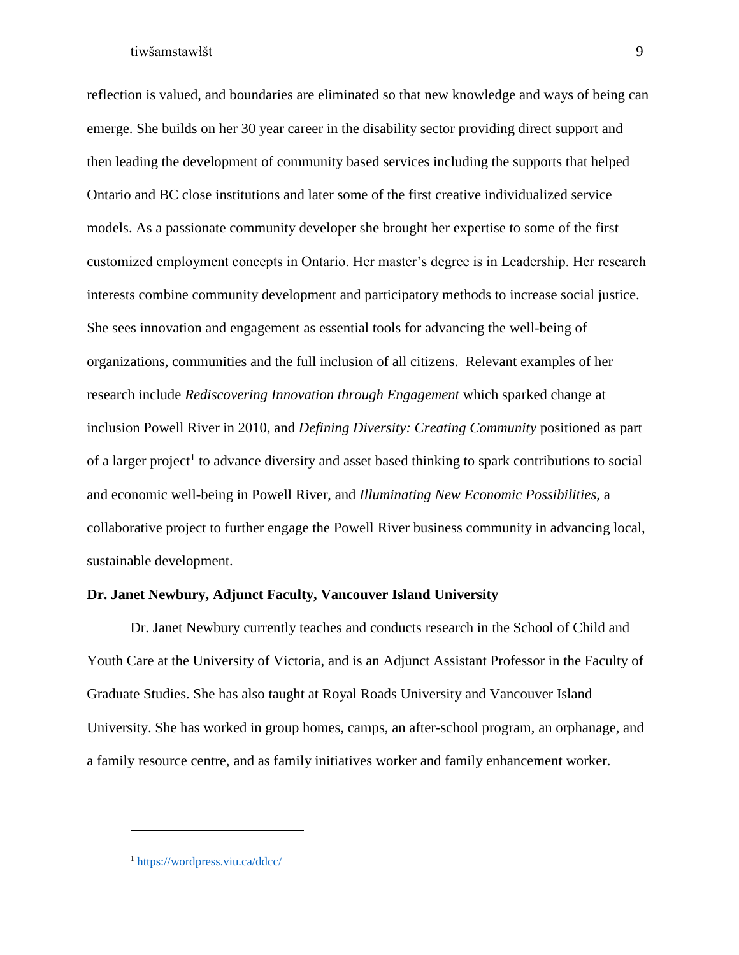reflection is valued, and boundaries are eliminated so that new knowledge and ways of being can emerge. She builds on her 30 year career in the disability sector providing direct support and then leading the development of community based services including the supports that helped Ontario and BC close institutions and later some of the first creative individualized service models. As a passionate community developer she brought her expertise to some of the first customized employment concepts in Ontario. Her master's degree is in Leadership. Her research interests combine community development and participatory methods to increase social justice. She sees innovation and engagement as essential tools for advancing the well-being of organizations, communities and the full inclusion of all citizens. Relevant examples of her research include *Rediscovering Innovation through Engagement* which sparked change at inclusion Powell River in 2010, and *Defining Diversity: Creating Community* positioned as part of a larger project<sup>1</sup> to advance diversity and asset based thinking to spark contributions to social and economic well-being in Powell River, and *Illuminating New Economic Possibilities,* a collaborative project to further engage the Powell River business community in advancing local, sustainable development.

## <span id="page-9-0"></span>**Dr. Janet Newbury, Adjunct Faculty, Vancouver Island University**

Dr. Janet Newbury currently teaches and conducts research in the School of Child and Youth Care at the University of Victoria, and is an Adjunct Assistant Professor in the Faculty of Graduate Studies. She has also taught at Royal Roads University and Vancouver Island University. She has worked in group homes, camps, an after-school program, an orphanage, and a family resource centre, and as family initiatives worker and family enhancement worker.

 $\overline{a}$ 

<sup>1</sup> <https://wordpress.viu.ca/ddcc/>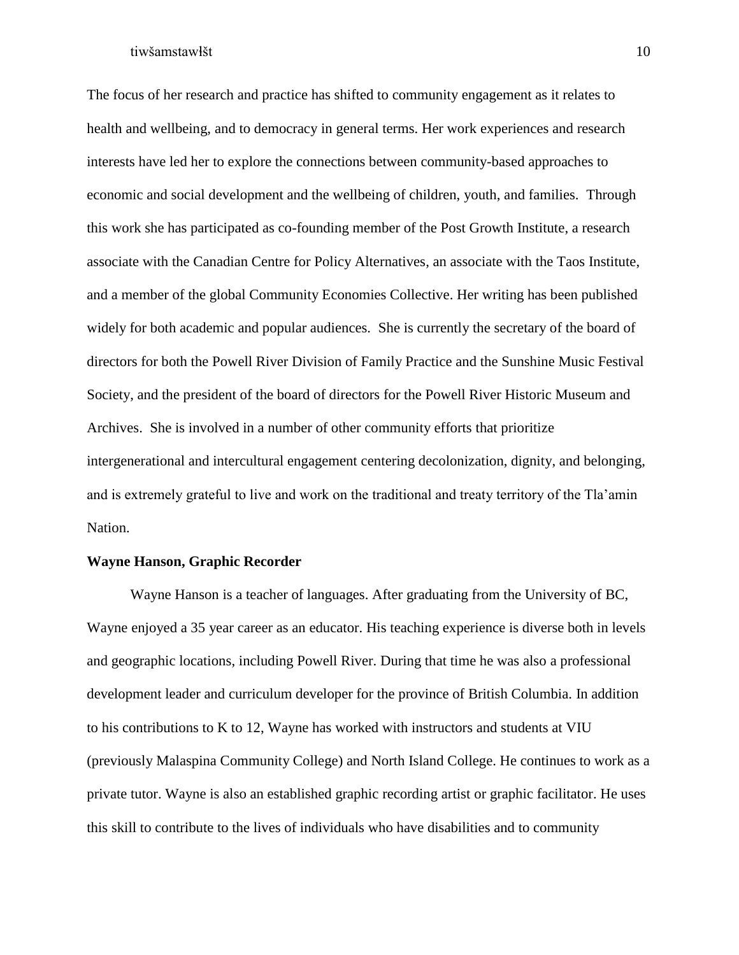The focus of her research and practice has shifted to community engagement as it relates to health and wellbeing, and to democracy in general terms. Her work experiences and research interests have led her to explore the connections between community-based approaches to economic and social development and the wellbeing of children, youth, and families. Through this work she has participated as co-founding member of the [Post Growth Institute,](http://postgrowth.org/) a research associate with the [Canadian Centre for Policy Alternatives,](https://www.policyalternatives.ca/) an associate with the [Taos Institute,](http://www.taosinstitute.net/) and a member of the global [Community Economies Collective.](http://www.communityeconomies.org/Home) Her writing has been published widely for both academic and popular audiences. She is currently the secretary of the board of directors for both the Powell River Division of Family Practice and the Sunshine Music Festival Society, and the president of the board of directors for the Powell River Historic Museum and Archives. She is involved in a number of other community efforts that prioritize intergenerational and intercultural engagement centering decolonization, dignity, and belonging, and is extremely grateful to live and work on the traditional and treaty territory of the Tla'amin Nation.

## <span id="page-10-0"></span>**Wayne Hanson, Graphic Recorder**

Wayne Hanson is a teacher of languages. After graduating from the University of BC, Wayne enjoyed a 35 year career as an educator. His teaching experience is diverse both in levels and geographic locations, including Powell River. During that time he was also a professional development leader and curriculum developer for the province of British Columbia. In addition to his contributions to K to 12, Wayne has worked with instructors and students at VIU (previously Malaspina Community College) and North Island College. He continues to work as a private tutor. Wayne is also an established graphic recording artist or graphic facilitator. He uses this skill to contribute to the lives of individuals who have disabilities and to community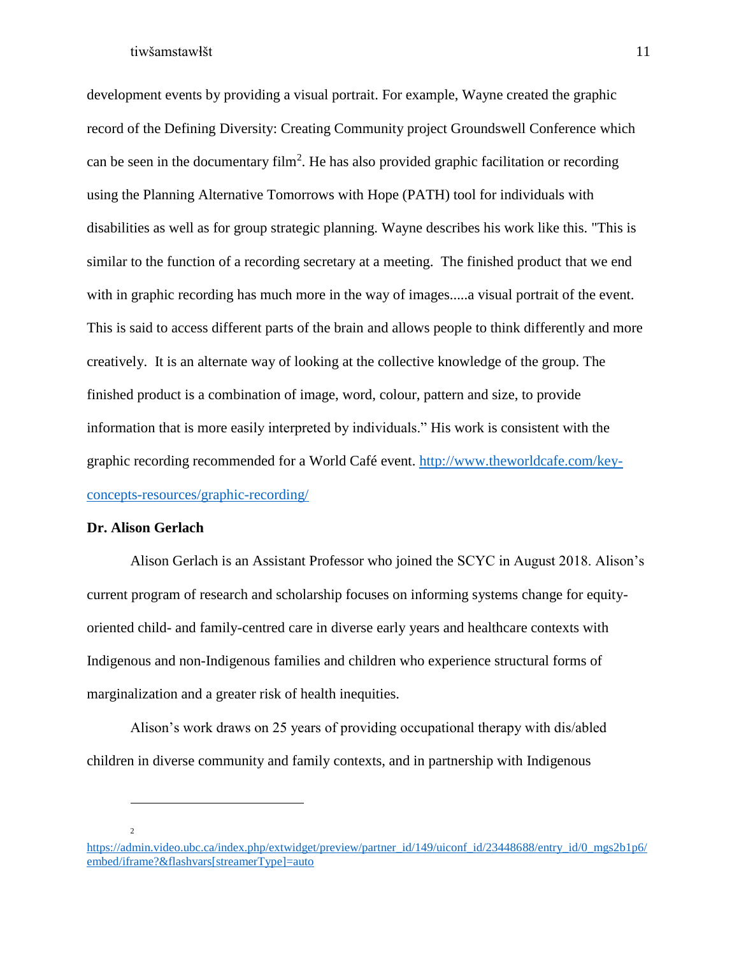development events by providing a visual portrait. For example, Wayne created the graphic record of the Defining Diversity: Creating Community project Groundswell Conference which can be seen in the documentary film<sup>2</sup>. He has also provided graphic facilitation or recording using the Planning Alternative Tomorrows with Hope (PATH) tool for individuals with disabilities as well as for group strategic planning. Wayne describes his work like this. "This is similar to the function of a recording secretary at a meeting. The finished product that we end with in graphic recording has much more in the way of images.....a visual portrait of the event. This is said to access different parts of the brain and allows people to think differently and more creatively. It is an alternate way of looking at the collective knowledge of the group. The finished product is a combination of image, word, colour, pattern and size, to provide information that is more easily interpreted by individuals." His work is consistent with the graphic recording recommended for a World Café event. [http://www.theworldcafe.com/key](http://www.theworldcafe.com/key-concepts-resources/graphic-recording/)[concepts-resources/graphic-recording/](http://www.theworldcafe.com/key-concepts-resources/graphic-recording/)

## <span id="page-11-0"></span>**Dr. Alison Gerlach**

Alison Gerlach is an Assistant Professor who joined the SCYC in August 2018. Alison's current program of research and scholarship focuses on informing systems change for equityoriented child- and family-centred care in diverse early years and healthcare contexts with Indigenous and non-Indigenous families and children who experience structural forms of marginalization and a greater risk of health inequities.

Alison's work draws on 25 years of providing occupational therapy with dis/abled children in diverse community and family contexts, and in partnership with Indigenous

2

 $\overline{a}$ 

[https://admin.video.ubc.ca/index.php/extwidget/preview/partner\\_id/149/uiconf\\_id/23448688/entry\\_id/0\\_mgs2b1p6/](https://admin.video.ubc.ca/index.php/extwidget/preview/partner_id/149/uiconf_id/23448688/entry_id/0_mgs2b1p6/embed/iframe?&flashvars%5bstreamerType%5d=auto) [embed/iframe?&flashvars\[streamerType\]=auto](https://admin.video.ubc.ca/index.php/extwidget/preview/partner_id/149/uiconf_id/23448688/entry_id/0_mgs2b1p6/embed/iframe?&flashvars%5bstreamerType%5d=auto)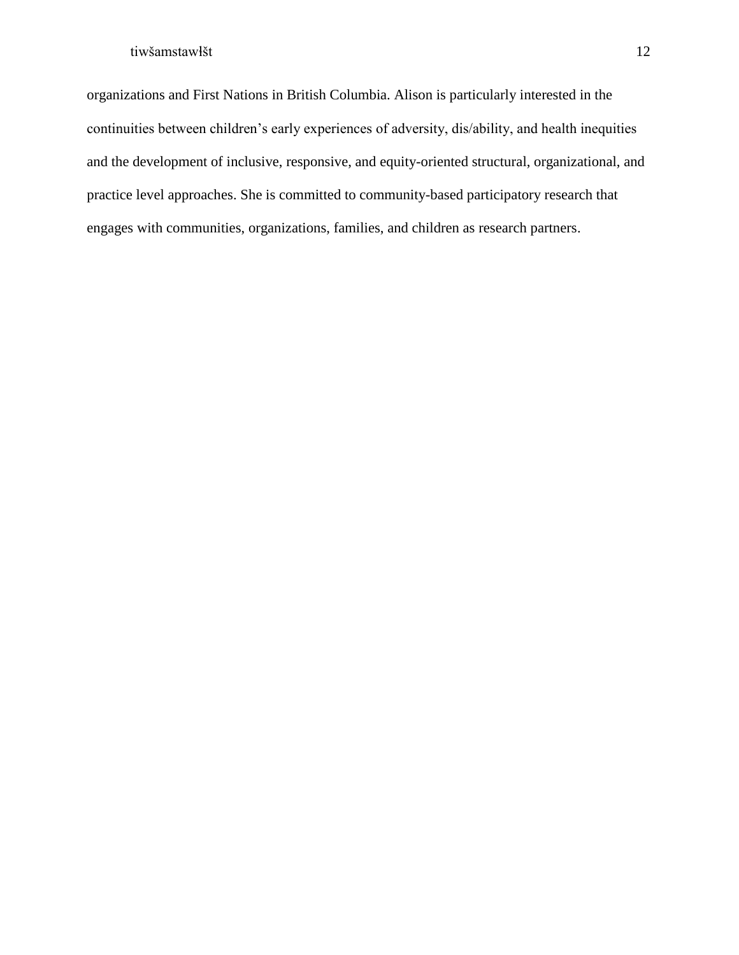organizations and First Nations in British Columbia. Alison is particularly interested in the continuities between children's early experiences of adversity, dis/ability, and health inequities and the development of inclusive, responsive, and equity-oriented structural, organizational, and practice level approaches. She is committed to community-based participatory research that engages with communities, organizations, families, and children as research partners.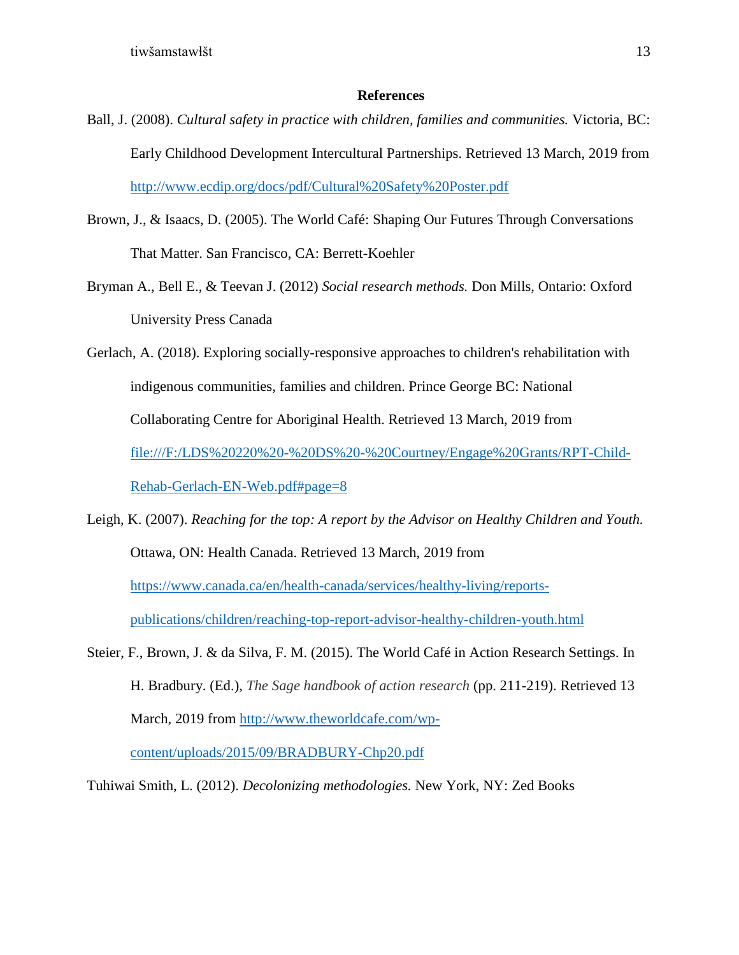## **References**

- <span id="page-13-0"></span>Ball, J. (2008). *Cultural safety in practice with children, families and communities.* Victoria, BC: Early Childhood Development Intercultural Partnerships. Retrieved 13 March, 2019 from <http://www.ecdip.org/docs/pdf/Cultural%20Safety%20Poster.pdf>
- Brown, J., & Isaacs, D. (2005). The World Café: Shaping Our Futures Through Conversations That Matter. San Francisco, CA: Berrett-Koehler
- Bryman A., Bell E., & Teevan J. (2012) *Social research methods.* Don Mills, Ontario: Oxford University Press Canada
- Gerlach, A. (2018). Exploring socially-responsive approaches to children's rehabilitation with indigenous communities, families and children. Prince George BC: National Collaborating Centre for Aboriginal Health. Retrieved 13 March, 2019 from [file:///F:/LDS%20220%20-%20DS%20-%20Courtney/Engage%20Grants/RPT-Child-](file:///F:/LDS%20220%20-%20DS%20-%20Courtney/Engage%20Grants/RPT-Child-Rehab-Gerlach-EN-Web.pdf%23page=8)[Rehab-Gerlach-EN-Web.pdf#page=8](file:///F:/LDS%20220%20-%20DS%20-%20Courtney/Engage%20Grants/RPT-Child-Rehab-Gerlach-EN-Web.pdf%23page=8)
- Leigh, K. (2007). *Reaching for the top: A report by the Advisor on Healthy Children and Youth.*  Ottawa, ON: Health Canada. Retrieved 13 March, 2019 from [https://www.canada.ca/en/health-canada/services/healthy-living/reports](https://www.canada.ca/en/health-canada/services/healthy-living/reports-publications/children/reaching-top-report-advisor-healthy-children-youth.html)[publications/children/reaching-top-report-advisor-healthy-children-youth.html](https://www.canada.ca/en/health-canada/services/healthy-living/reports-publications/children/reaching-top-report-advisor-healthy-children-youth.html)
- Steier, F., Brown, J. & da Silva, F. M. (2015). The World Café in Action Research Settings. In H. Bradbury. (Ed.), *The Sage handbook of action research* (pp. 211-219). Retrieved 13 March, 2019 from [http://www.theworldcafe.com/wp-](http://www.theworldcafe.com/wp-content/uploads/2015/09/BRADBURY-Chp20.pdf)

[content/uploads/2015/09/BRADBURY-Chp20.pdf](http://www.theworldcafe.com/wp-content/uploads/2015/09/BRADBURY-Chp20.pdf)

Tuhiwai Smith, L. (2012). *Decolonizing methodologies.* New York, NY: Zed Books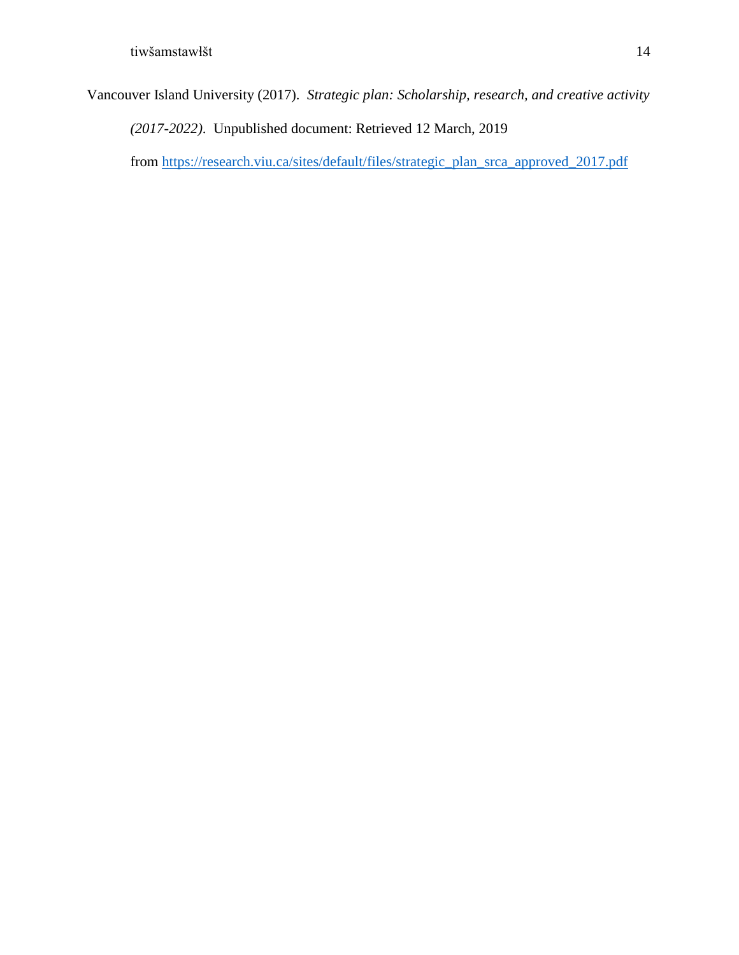Vancouver Island University (2017). *Strategic plan: Scholarship, research, and creative activity* 

*(2017-2022)*. Unpublished document: Retrieved 12 March, 2019

from [https://research.viu.ca/sites/default/files/strategic\\_plan\\_srca\\_approved\\_2017.pdf](https://research.viu.ca/sites/default/files/strategic_plan_srca_approved_2017.pdf)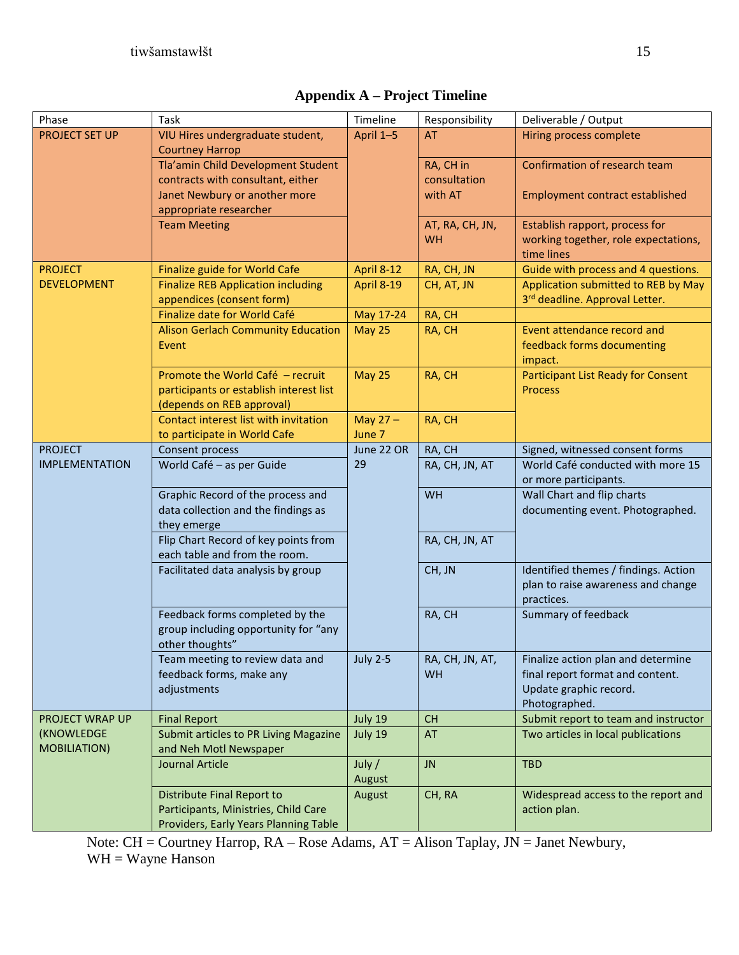| <b>Appendix A – Project Timeline</b> |  |  |
|--------------------------------------|--|--|
|--------------------------------------|--|--|

<span id="page-15-0"></span>

| Phase                 | Task                                                                     | Timeline        | Responsibility  | Deliverable / Output                                           |
|-----------------------|--------------------------------------------------------------------------|-----------------|-----------------|----------------------------------------------------------------|
| <b>PROJECT SET UP</b> | VIU Hires undergraduate student,                                         | April 1-5       | <b>AT</b>       | Hiring process complete                                        |
|                       | <b>Courtney Harrop</b>                                                   |                 |                 |                                                                |
|                       | Tla'amin Child Development Student                                       |                 | RA, CH in       | Confirmation of research team                                  |
|                       | contracts with consultant, either                                        |                 | consultation    |                                                                |
|                       | Janet Newbury or another more                                            |                 | with AT         | <b>Employment contract established</b>                         |
|                       | appropriate researcher                                                   |                 |                 |                                                                |
|                       | <b>Team Meeting</b>                                                      |                 | AT, RA, CH, JN, | Establish rapport, process for                                 |
|                       |                                                                          |                 | WH              | working together, role expectations,<br>time lines             |
| <b>PROJECT</b>        | Finalize guide for World Cafe                                            | April 8-12      | RA, CH, JN      | Guide with process and 4 questions.                            |
| <b>DEVELOPMENT</b>    | <b>Finalize REB Application including</b>                                | April 8-19      | CH, AT, JN      | Application submitted to REB by May                            |
|                       | appendices (consent form)                                                |                 |                 | 3rd deadline. Approval Letter.                                 |
|                       | Finalize date for World Café                                             | May 17-24       | RA, CH          |                                                                |
|                       | <b>Alison Gerlach Community Education</b>                                | <b>May 25</b>   | RA, CH          | Event attendance record and                                    |
|                       | Event                                                                    |                 |                 | feedback forms documenting                                     |
|                       |                                                                          |                 |                 | impact.                                                        |
|                       | Promote the World Café - recruit                                         | <b>May 25</b>   | RA, CH          | <b>Participant List Ready for Consent</b>                      |
|                       | participants or establish interest list                                  |                 |                 | <b>Process</b>                                                 |
|                       | (depends on REB approval)                                                |                 |                 |                                                                |
|                       | Contact interest list with invitation                                    | May $27 -$      | RA, CH          |                                                                |
|                       | to participate in World Cafe                                             | June 7          |                 |                                                                |
| <b>PROJECT</b>        | Consent process                                                          | June 22 OR      | RA, CH          | Signed, witnessed consent forms                                |
| <b>IMPLEMENTATION</b> | World Café - as per Guide                                                | 29              | RA, CH, JN, AT  | World Café conducted with more 15                              |
|                       |                                                                          |                 |                 | or more participants.                                          |
|                       | Graphic Record of the process and<br>data collection and the findings as |                 | WH              | Wall Chart and flip charts<br>documenting event. Photographed. |
|                       | they emerge                                                              |                 |                 |                                                                |
|                       | Flip Chart Record of key points from                                     |                 | RA, CH, JN, AT  |                                                                |
|                       | each table and from the room.                                            |                 |                 |                                                                |
|                       | Facilitated data analysis by group                                       |                 | CH, JN          | Identified themes / findings. Action                           |
|                       |                                                                          |                 |                 | plan to raise awareness and change                             |
|                       |                                                                          |                 |                 | practices.                                                     |
|                       | Feedback forms completed by the                                          |                 | RA, CH          | Summary of feedback                                            |
|                       | group including opportunity for "any                                     |                 |                 |                                                                |
|                       | other thoughts"                                                          |                 |                 |                                                                |
|                       | Team meeting to review data and                                          | <b>July 2-5</b> | RA, CH, JN, AT, | Finalize action plan and determine                             |
|                       | feedback forms, make any                                                 |                 | WH              | final report format and content.                               |
|                       | adjustments                                                              |                 |                 | Update graphic record.<br>Photographed.                        |
| PROJECT WRAP UP       | <b>Final Report</b>                                                      | July 19         | <b>CH</b>       | Submit report to team and instructor                           |
| (KNOWLEDGE            | Submit articles to PR Living Magazine                                    | July 19         | AT              | Two articles in local publications                             |
| <b>MOBILIATION)</b>   | and Neh Motl Newspaper                                                   |                 |                 |                                                                |
|                       | <b>Journal Article</b>                                                   | July $/$        | <b>JN</b>       | <b>TBD</b>                                                     |
|                       |                                                                          | August          |                 |                                                                |
|                       | Distribute Final Report to                                               | August          | CH, RA          | Widespread access to the report and                            |
|                       | Participants, Ministries, Child Care                                     |                 |                 | action plan.                                                   |
|                       | Providers, Early Years Planning Table                                    |                 |                 |                                                                |

Note: CH = Courtney Harrop, RA – Rose Adams, AT = Alison Taplay, JN = Janet Newbury,  $WH = Wayne$  Hanson